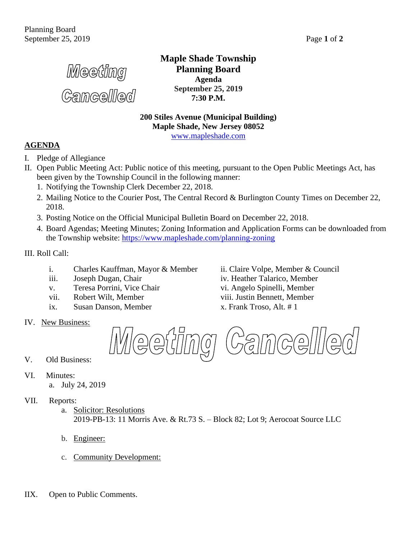Meeting

**Gamcellled** 

**Maple Shade Township Planning Board Agenda September 25, 2019 7:30 P.M.**

**200 Stiles Avenue (Municipal Building) Maple Shade, New Jersey 08052** [www.mapleshade.com](http://www.mapleshade.com/)

## **AGENDA**

- I. Pledge of Allegiance
- II. Open Public Meeting Act: Public notice of this meeting, pursuant to the Open Public Meetings Act, has been given by the Township Council in the following manner:
	- 1. Notifying the Township Clerk December 22, 2018.
	- 2. Mailing Notice to the Courier Post, The Central Record & Burlington County Times on December 22, 2018.
	- 3. Posting Notice on the Official Municipal Bulletin Board on December 22, 2018.
	- 4. Board Agendas; Meeting Minutes; Zoning Information and Application Forms can be downloaded from the Township website:<https://www.mapleshade.com/planning-zoning>

III. Roll Call:

- i. Charles Kauffman, Mayor & Member ii. Claire Volpe, Member & Council
- 
- v. Teresa Porrini, Vice Chair vi. Angelo Spinelli, Member
- vii. Robert Wilt, Member viii. Justin Bennett, Member
- ix. Susan Danson, Member x. Frank Troso, Alt. # 1
- IV. New Business:

iii. Joseph Dugan, Chair iv. Heather Talarico, Member



- V. Old Business:
- VI. Minutes:
	- a. July 24, 2019
- VII. Reports:
	- a. Solicitor: Resolutions 2019-PB-13: 11 Morris Ave. & Rt.73 S. – Block 82; Lot 9; Aerocoat Source LLC
	- b. Engineer:
	- c. Community Development:
- IIX. Open to Public Comments.